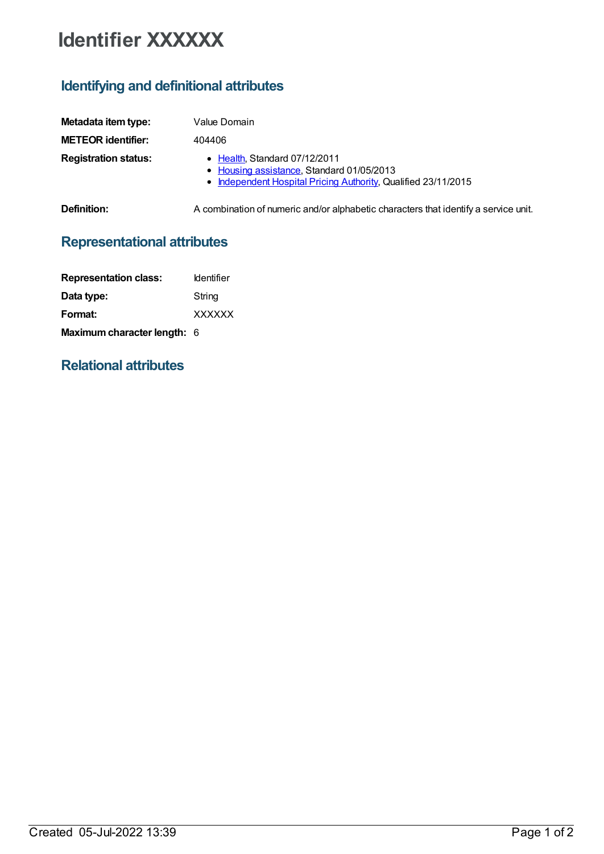## **Identifier XXXXXX**

## **Identifying and definitional attributes**

| Metadata item type:         | Value Domain                                                                                                                                 |
|-----------------------------|----------------------------------------------------------------------------------------------------------------------------------------------|
| <b>METEOR identifier:</b>   | 404406                                                                                                                                       |
| <b>Registration status:</b> | • Health, Standard 07/12/2011<br>• Housing assistance, Standard 01/05/2013<br>• Independent Hospital Pricing Authority, Qualified 23/11/2015 |
| <b>Definition:</b>          | A combination of numeric and/or alphabetic characters that identify a service unit.                                                          |

## **Representational attributes**

| <b>Representation class:</b>       | <b>Identifier</b> |
|------------------------------------|-------------------|
| Data type:                         | String            |
| Format:                            | <b>XXXXXX</b>     |
| <b>Maximum character length: 6</b> |                   |

## **Relational attributes**